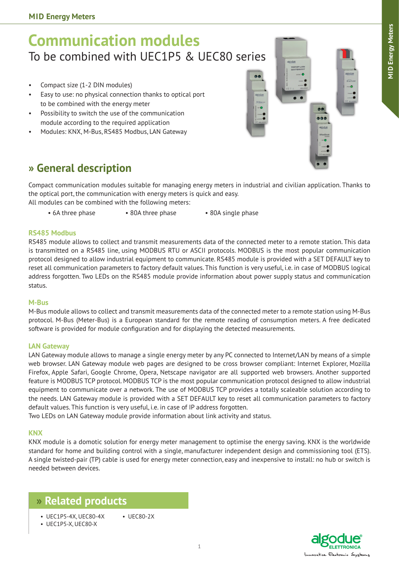# **Communication modules** To be combined with UEC1P5 & UEC80 series

- • Compact size (1-2 DIN modules)
- • Easy to use: no physical connection thanks to optical port to be combined with the energy meter
- • Possibility to switch the use of the communication module according to the required application
- Modules: KNX, M-Bus, RS485 Modbus, LAN Gateway



# **» General description**

Compact communication modules suitable for managing energy meters in industrial and civilian application. Thanks to the optical port, the communication with energy meters is quick and easy.

All modules can be combined with the following meters:

• 6A three phase • 80A three phase • 80A single phase

#### **RS485 Modbus**

RS485 module allows to collect and transmit measurements data of the connected meter to a remote station. This data is transmitted on a RS485 line, using MODBUS RTU or ASCII protocols. MODBUS is the most popular communication protocol designed to allow industrial equipment to communicate. RS485 module is provided with a SET DEFAULT key to reset all communication parameters to factory default values. This function is very useful, i.e. in case of MODBUS logical address forgotten. Two LEDs on the RS485 module provide information about power supply status and communication status.

#### **M-Bus**

M-Bus module allows to collect and transmit measurements data of the connected meter to a remote station using M-Bus protocol. M-Bus (Meter-Bus) is a European standard for the remote reading of consumption meters. A free dedicated software is provided for module configuration and for displaying the detected measurements.

#### **LAN Gateway**

LAN Gateway module allows to manage a single energy meter by any PC connected to Internet/LAN by means of a simple web browser. LAN Gateway module web pages are designed to be cross browser compliant: Internet Explorer, Mozilla Firefox, Apple Safari, Google Chrome, Opera, Netscape navigator are all supported web browsers. Another supported feature is MODBUS TCP protocol. MODBUS TCP is the most popular communication protocol designed to allow industrial equipment to communicate over a network. The use of MODBUS TCP provides a totally scaleable solution according to the needs. LAN Gateway module is provided with a SET DEFAULT key to reset all communication parameters to factory default values. This function is very useful, i.e. in case of IP address forgotten.

Two LEDs on LAN Gateway module provide information about link activity and status.

#### **KNX**

KNX module is a domotic solution for energy meter management to optimise the energy saving. KNX is the worldwide standard for home and building control with a single, manufacturer independent design and commissioning tool (ETS). A single twisted-pair (TP) cable is used for energy meter connection, easy and inexpensive to install: no hub or switch is needed between devices.

### **» Related products**

- • UEC1P5-4X, UEC80-4X • UEC80-2X
- • UEC1P5-X, UEC80-X

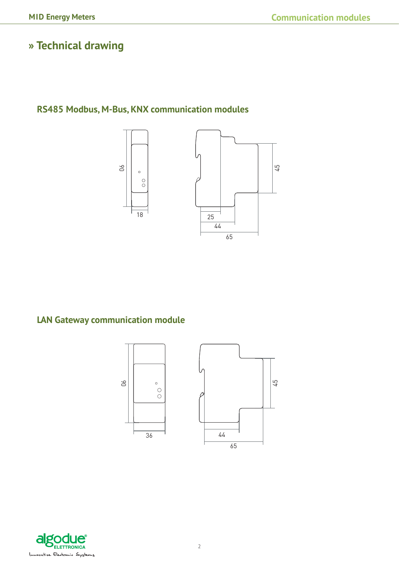# **» Technical drawing**

## **RS485 Modbus, M-Bus, KNX communication modules**



### **LAN Gateway communication module**